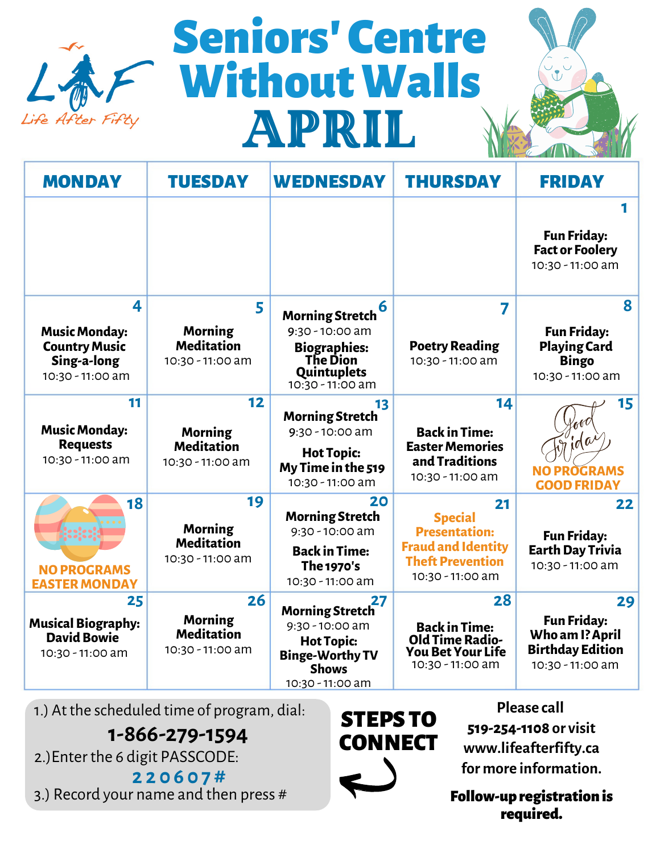

# April Seniors' Centre WithoutWalls



| <b>MONDAY</b>                                                                        | <b>TUESDAY</b>                                                | <b>WEDNESDAY</b>                                                                                                                     | <b>THURSDAY</b>                                                                                                          | <b>FRIDAY</b>                                                                              |
|--------------------------------------------------------------------------------------|---------------------------------------------------------------|--------------------------------------------------------------------------------------------------------------------------------------|--------------------------------------------------------------------------------------------------------------------------|--------------------------------------------------------------------------------------------|
|                                                                                      |                                                               |                                                                                                                                      |                                                                                                                          | 1<br><b>Fun Friday:</b><br><b>Fact or Foolery</b><br>10:30 - 11:00 am                      |
| 4<br><b>Music Monday:</b><br><b>Country Music</b><br>Sing-a-long<br>10:30 - 11:00 am | 5<br><b>Morning</b><br><b>Meditation</b><br>10:30 - 11:00 am  | 6<br><b>Morning Stretch</b><br>$9:30 - 10:00$ am<br><b>Biographies:</b><br><b>The Dion</b><br>Quintuplets<br>$10:30 - 11:00$ am      | 7<br><b>Poetry Reading</b><br>10:30 - 11:00 am                                                                           | 8<br><b>Fun Friday:</b><br><b>Playing Card</b><br><b>Bingo</b><br>10:30 - 11:00 am         |
| 11<br><b>Music Monday:</b><br><b>Requests</b><br>10:30 - 11:00 am                    | 12<br><b>Morning</b><br><b>Meditation</b><br>10:30 - 11:00 am | 13<br><b>Morning Stretch</b><br>$9:30 - 10:00$ am<br><b>Hot Topic:</b><br>My Time in the 519<br>10:30 - 11:00 am                     | 14<br><b>Back in Time:</b><br><b>Easter Memories</b><br>and Traditions<br>10:30 - 11:00 am                               | 15<br>$d\omega$<br><b>NO PROGRAMS</b><br><b>GOOD FRIDAY</b>                                |
| 18<br><b>NO PROGRAMS</b><br><b>EASTER MONDAY</b>                                     | 19<br><b>Morning</b><br><b>Meditation</b><br>10:30 - 11:00 am | 20<br><b>Morning Stretch</b><br>$9:30 - 10:00$ am<br><b>Back in Time:</b><br><b>The 1970's</b><br>10:30 - 11:00 am                   | 21<br><b>Special</b><br><b>Presentation:</b><br><b>Fraud and Identity</b><br><b>Theft Prevention</b><br>10:30 - 11:00 am | 22<br><b>Fun Friday:</b><br><b>Earth Day Trivia</b><br>10:30 - 11:00 am                    |
| 25<br><b>Musical Biography:</b><br><b>David Bowie</b><br>10:30 - 11:00 am            | 26<br><b>Morning</b><br><b>Meditation</b><br>10:30 - 11:00 am | 27<br><b>Morning Stretch</b><br>$9:30 - 10:00$ am<br><b>Hot Topic:</b><br><b>Binge-Worthy TV</b><br><b>Shows</b><br>10:30 - 11:00 am | 28<br><b>Back in Time:</b><br><b>Old Time Radio-</b><br><b>You Bet Your Life</b><br>10:30 - 11:00 am                     | 29<br><b>Fun Friday:</b><br>Who am I? April<br><b>Birthday Edition</b><br>10:30 - 11:00 am |

1.) At the scheduled time of program, dial:

**1-866-279-1594**

2.)Enter the 6 digit PASSCODE:

**2 2 0 6 0 7 #** 3.) Record your name and then press #

STEPS TO **CONNECT** 

**Please call 519-254-1108 or visit www.lifeafterfifty.ca for more information.**

Follow-up registration is required.